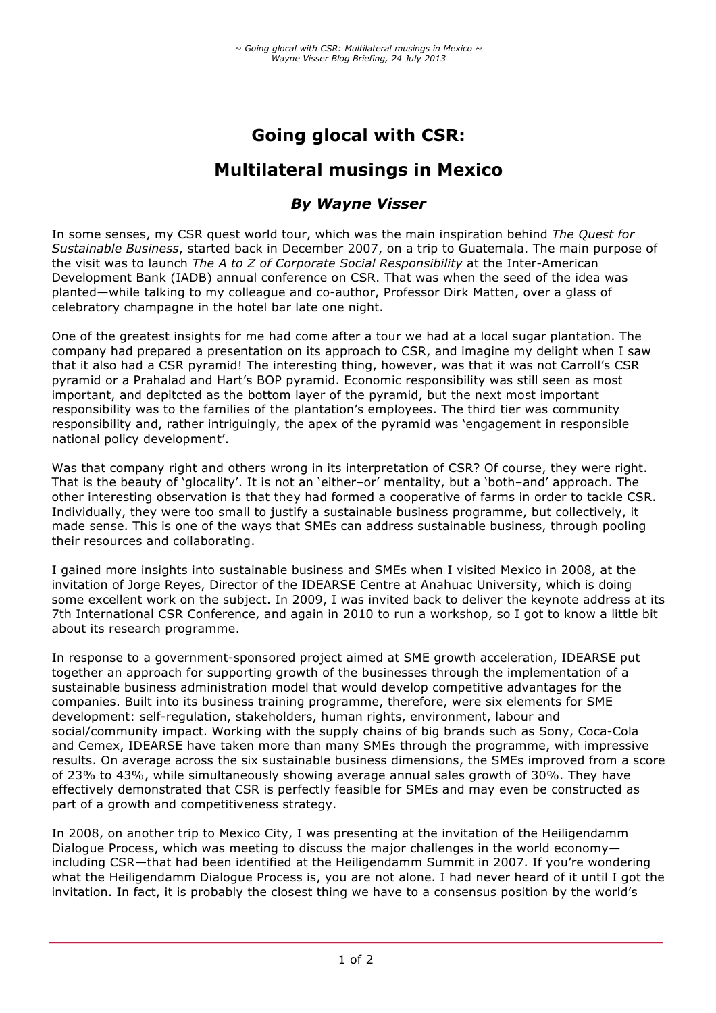# **Going glocal with CSR:**

## **Multilateral musings in Mexico**

## *By Wayne Visser*

In some senses, my CSR quest world tour, which was the main inspiration behind *The Quest for Sustainable Business*, started back in December 2007, on a trip to Guatemala. The main purpose of the visit was to launch *The A to Z of Corporate Social Responsibility* at the Inter-American Development Bank (IADB) annual conference on CSR. That was when the seed of the idea was planted—while talking to my colleague and co-author, Professor Dirk Matten, over a glass of celebratory champagne in the hotel bar late one night.

One of the greatest insights for me had come after a tour we had at a local sugar plantation. The company had prepared a presentation on its approach to CSR, and imagine my delight when I saw that it also had a CSR pyramid! The interesting thing, however, was that it was not Carroll's CSR pyramid or a Prahalad and Hart's BOP pyramid. Economic responsibility was still seen as most important, and depitcted as the bottom layer of the pyramid, but the next most important responsibility was to the families of the plantation's employees. The third tier was community responsibility and, rather intriguingly, the apex of the pyramid was 'engagement in responsible national policy development'.

Was that company right and others wrong in its interpretation of CSR? Of course, they were right. That is the beauty of 'glocality'. It is not an 'either–or' mentality, but a 'both–and' approach. The other interesting observation is that they had formed a cooperative of farms in order to tackle CSR. Individually, they were too small to justify a sustainable business programme, but collectively, it made sense. This is one of the ways that SMEs can address sustainable business, through pooling their resources and collaborating.

I gained more insights into sustainable business and SMEs when I visited Mexico in 2008, at the invitation of Jorge Reyes, Director of the IDEARSE Centre at Anahuac University, which is doing some excellent work on the subject. In 2009, I was invited back to deliver the keynote address at its 7th International CSR Conference, and again in 2010 to run a workshop, so I got to know a little bit about its research programme.

In response to a government-sponsored project aimed at SME growth acceleration, IDEARSE put together an approach for supporting growth of the businesses through the implementation of a sustainable business administration model that would develop competitive advantages for the companies. Built into its business training programme, therefore, were six elements for SME development: self-regulation, stakeholders, human rights, environment, labour and social/community impact. Working with the supply chains of big brands such as Sony, Coca-Cola and Cemex, IDEARSE have taken more than many SMEs through the programme, with impressive results. On average across the six sustainable business dimensions, the SMEs improved from a score of 23% to 43%, while simultaneously showing average annual sales growth of 30%. They have effectively demonstrated that CSR is perfectly feasible for SMEs and may even be constructed as part of a growth and competitiveness strategy.

In 2008, on another trip to Mexico City, I was presenting at the invitation of the Heiligendamm Dialogue Process, which was meeting to discuss the major challenges in the world economy including CSR—that had been identified at the Heiligendamm Summit in 2007. If you're wondering what the Heiligendamm Dialogue Process is, you are not alone. I had never heard of it until I got the invitation. In fact, it is probably the closest thing we have to a consensus position by the world's